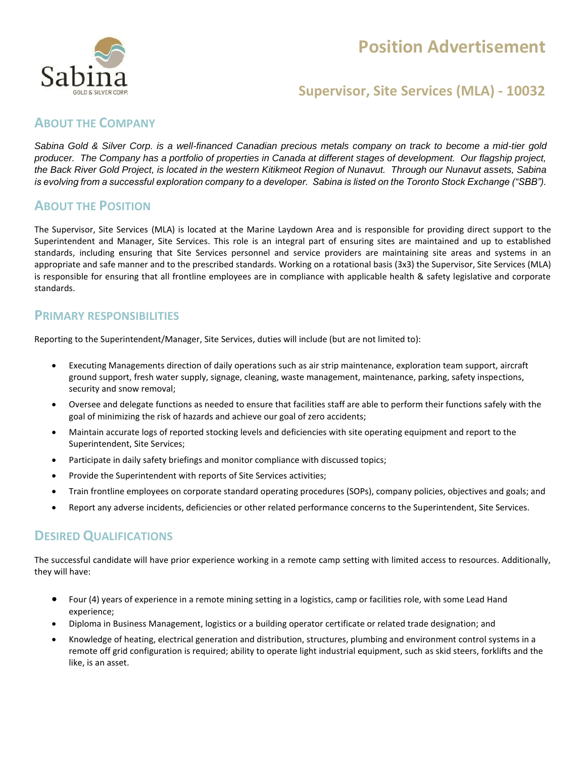# **Position Advertisement**



# **Supervisor, Site Services (MLA) - 10032**

#### **ABOUT THE COMPANY**

*Sabina Gold & Silver Corp. is a well-financed Canadian precious metals company on track to become a mid-tier gold producer. The Company has a portfolio of properties in Canada at different stages of development. Our flagship project, the Back River Gold Project, is located in the western Kitikmeot Region of Nunavut. Through our Nunavut assets, Sabina is evolving from a successful exploration company to a developer. Sabina is listed on the Toronto Stock Exchange ("SBB").*

### **ABOUT THE POSITION**

The Supervisor, Site Services (MLA) is located at the Marine Laydown Area and is responsible for providing direct support to the Superintendent and Manager, Site Services. This role is an integral part of ensuring sites are maintained and up to established standards, including ensuring that Site Services personnel and service providers are maintaining site areas and systems in an appropriate and safe manner and to the prescribed standards. Working on a rotational basis (3x3) the Supervisor, Site Services (MLA) is responsible for ensuring that all frontline employees are in compliance with applicable health & safety legislative and corporate standards.

### **PRIMARY RESPONSIBILITIES**

Reporting to the Superintendent/Manager, Site Services, duties will include (but are not limited to):

- Executing Managements direction of daily operations such as air strip maintenance, exploration team support, aircraft ground support, fresh water supply, signage, cleaning, waste management, maintenance, parking, safety inspections, security and snow removal;
- Oversee and delegate functions as needed to ensure that facilities staff are able to perform their functions safely with the goal of minimizing the risk of hazards and achieve our goal of zero accidents;
- Maintain accurate logs of reported stocking levels and deficiencies with site operating equipment and report to the Superintendent, Site Services;
- Participate in daily safety briefings and monitor compliance with discussed topics;
- Provide the Superintendent with reports of Site Services activities;
- Train frontline employees on corporate standard operating procedures (SOPs), company policies, objectives and goals; and
- Report any adverse incidents, deficiencies or other related performance concerns to the Superintendent, Site Services.

### **DESIRED QUALIFICATIONS**

The successful candidate will have prior experience working in a remote camp setting with limited access to resources. Additionally, they will have:

- Four (4) years of experience in a remote mining setting in a logistics, camp or facilities role, with some Lead Hand experience;
- Diploma in Business Management, logistics or a building operator certificate or related trade designation; and
- Knowledge of heating, electrical generation and distribution, structures, plumbing and environment control systems in a remote off grid configuration is required; ability to operate light industrial equipment, such as skid steers, forklifts and the like, is an asset.